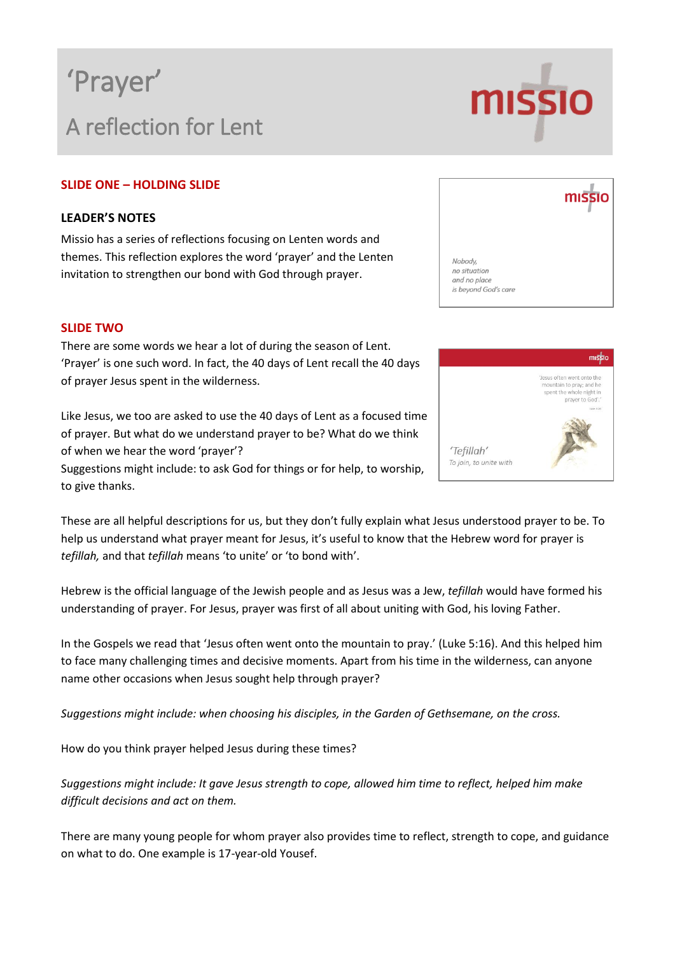# 'Prayer' A reflection for Lent

## **SLIDE ONE – HOLDING SLIDE**

## **LEADER'S NOTES**

Missio has a series of reflections focusing on Lenten words and themes. This reflection explores the word 'prayer' and the Lenten invitation to strengthen our bond with God through prayer.

#### **SLIDE TWO**

There are some words we hear a lot of during the season of Lent. 'Prayer' is one such word. In fact, the 40 days of Lent recall the 40 days of prayer Jesus spent in the wilderness.

Like Jesus, we too are asked to use the 40 days of Lent as a focused time of prayer. But what do we understand prayer to be? What do we think of when we hear the word 'prayer'?

Suggestions might include: to ask God for things or for help, to worship, to give thanks.

These are all helpful descriptions for us, but they don't fully explain what Jesus understood prayer to be. To help us understand what prayer meant for Jesus, it's useful to know that the Hebrew word for prayer is *tefillah,* and that *tefillah* means 'to unite' or 'to bond with'.

Hebrew is the official language of the Jewish people and as Jesus was a Jew, *tefillah* would have formed his understanding of prayer. For Jesus, prayer was first of all about uniting with God, his loving Father.

In the Gospels we read that 'Jesus often went onto the mountain to pray.' (Luke 5:16). And this helped him to face many challenging times and decisive moments. Apart from his time in the wilderness, can anyone name other occasions when Jesus sought help through prayer?

*Suggestions might include: when choosing his disciples, in the Garden of Gethsemane, on the cross.*

How do you think prayer helped Jesus during these times?

*Suggestions might include: It gave Jesus strength to cope, allowed him time to reflect, helped him make difficult decisions and act on them.* 

There are many young people for whom prayer also provides time to reflect, strength to cope, and guidance on what to do. One example is 17-year-old Yousef.

lesus often went onto the mountain to pray; and he<br>spent the whole night in

'Tefillah' To join, to unite with